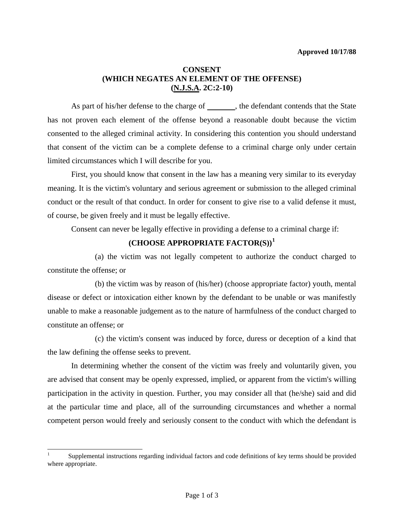### **CONSENT (WHICH NEGATES AN ELEMENT OF THE OFFENSE) (N.J.S.A. 2C:2-10)**

As part of his/her defense to the charge of , the defendant contends that the State has not proven each element of the offense beyond a reasonable doubt because the victim consented to the alleged criminal activity. In considering this contention you should understand that consent of the victim can be a complete defense to a criminal charge only under certain limited circumstances which I will describe for you.

 First, you should know that consent in the law has a meaning very similar to its everyday meaning. It is the victim's voluntary and serious agreement or submission to the alleged criminal conduct or the result of that conduct. In order for consent to give rise to a valid defense it must, of course, be given freely and it must be legally effective.

Consent can never be legally effective in providing a defense to a criminal charge if:

# **(CHOOSE APPROPRIATE FACTOR(S))[1](#page-1-0)**

 (a) the victim was not legally competent to authorize the conduct charged to constitute the offense; or

 (b) the victim was by reason of (his/her) (choose appropriate factor) youth, mental disease or defect or intoxication either known by the defendant to be unable or was manifestly unable to make a reasonable judgement as to the nature of harmfulness of the conduct charged to constitute an offense; or

 (c) the victim's consent was induced by force, duress or deception of a kind that the law defining the offense seeks to prevent.

 In determining whether the consent of the victim was freely and voluntarily given, you are advised that consent may be openly expressed, implied, or apparent from the victim's willing participation in the activity in question. Further, you may consider all that (he/she) said and did at the particular time and place, all of the surrounding circumstances and whether a normal competent person would freely and seriously consent to the conduct with which the defendant is

 $\overline{\phantom{a}}$ 

<span id="page-0-0"></span><sup>1</sup> Supplemental instructions regarding individual factors and code definitions of key terms should be provided where appropriate.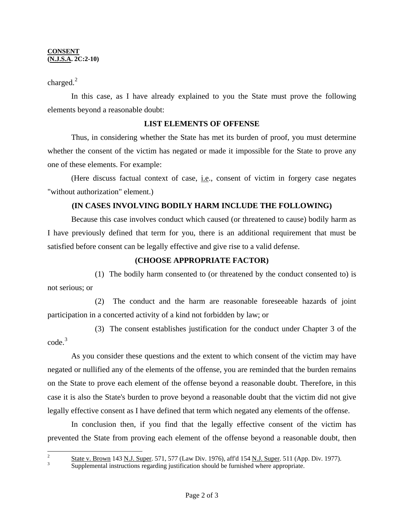#### **CONSENT (N.J.S.A. 2C:2-10)**

charged. $^{2}$  $^{2}$  $^{2}$ 

 In this case, as I have already explained to you the State must prove the following elements beyond a reasonable doubt:

## **LIST ELEMENTS OF OFFENSE**

Thus, in considering whether the State has met its burden of proof, you must determine whether the consent of the victim has negated or made it impossible for the State to prove any one of these elements. For example:

 (Here discuss factual context of case, i.e., consent of victim in forgery case negates "without authorization" element.)

# **(IN CASES INVOLVING BODILY HARM INCLUDE THE FOLLOWING)**

 Because this case involves conduct which caused (or threatened to cause) bodily harm as I have previously defined that term for you, there is an additional requirement that must be satisfied before consent can be legally effective and give rise to a valid defense.

## **(CHOOSE APPROPRIATE FACTOR)**

 (1) The bodily harm consented to (or threatened by the conduct consented to) is not serious; or

 (2) The conduct and the harm are reasonable foreseeable hazards of joint participation in a concerted activity of a kind not forbidden by law; or

 (3) The consent establishes justification for the conduct under Chapter 3 of the code.[3](#page-1-1)

 As you consider these questions and the extent to which consent of the victim may have negated or nullified any of the elements of the offense, you are reminded that the burden remains on the State to prove each element of the offense beyond a reasonable doubt. Therefore, in this case it is also the State's burden to prove beyond a reasonable doubt that the victim did not give legally effective consent as I have defined that term which negated any elements of the offense.

 In conclusion then, if you find that the legally effective consent of the victim has prevented the State from proving each element of the offense beyond a reasonable doubt, then

<span id="page-1-1"></span><span id="page-1-0"></span> $\mathfrak{D}$ 

 $\frac{2}{3}$  State v. Brown 143 N.J. Super. 571, 577 (Law Div. 1976), aff'd 154 N.J. Super. 511 (App. Div. 1977).

Supplemental instructions regarding justification should be furnished where appropriate.